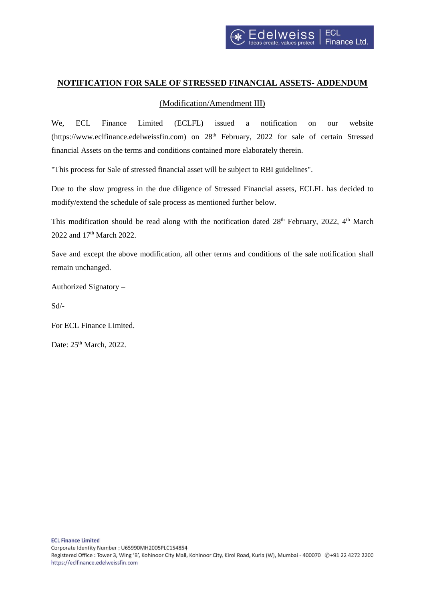

## **NOTIFICATION FOR SALE OF STRESSED FINANCIAL ASSETS- ADDENDUM**

## (Modification/Amendment III)

We, ECL Finance Limited (ECLFL) issued a notification on our website (https://www.eclfinance.edelweissfin.com) on 28<sup>th</sup> February, 2022 for sale of certain Stressed financial Assets on the terms and conditions contained more elaborately therein.

"This process for Sale of stressed financial asset will be subject to RBI guidelines".

Due to the slow progress in the due diligence of Stressed Financial assets, ECLFL has decided to modify/extend the schedule of sale process as mentioned further below.

This modification should be read along with the notification dated  $28<sup>th</sup>$  February, 2022, 4<sup>th</sup> March 2022 and 17th March 2022.

Save and except the above modification, all other terms and conditions of the sale notification shall remain unchanged.

Authorized Signatory –

Sd/-

For ECL Finance Limited.

Date: 25<sup>th</sup> March, 2022.